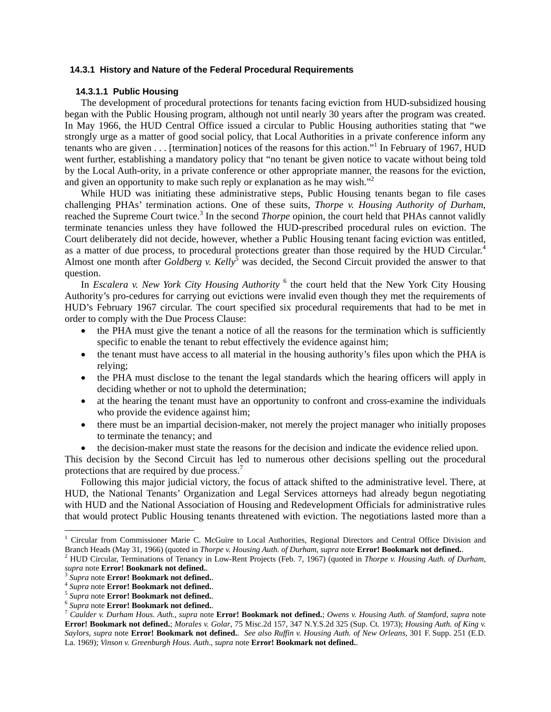## **14.3.1 History and Nature of the Federal Procedural Requirements**

### **14.3.1.1 Public Housing**

The development of procedural protections for tenants facing eviction from HUD-subsidized housing began with the Public Housing program, although not until nearly 30 years after the program was created. In May 1966, the HUD Central Office issued a circular to Public Housing authorities stating that "we strongly urge as a matter of good social policy, that Local Authorities in a private conference inform any tenants who are given . . . [termination] notices of the reasons for this action."<sup>1</sup> In February of 1967, HUD went further, establishing a mandatory policy that "no tenant be given notice to vacate without being told by the Local Auth-ority, in a private conference or other appropriate manner, the reasons for the eviction, and given an opportunity to make such reply or explanation as he may wish.<sup>"2</sup>

 While HUD was initiating these administrative steps, Public Housing tenants began to file cases challenging PHAs' termination actions. One of these suits, *Thorpe v. Housing Authority of Durham*, reached the Supreme Court twice.<sup>3</sup> In the second *Thorpe* opinion, the court held that PHAs cannot validly terminate tenancies unless they have followed the HUD-prescribed procedural rules on eviction. The Court deliberately did not decide, however, whether a Public Housing tenant facing eviction was entitled, as a matter of due process, to procedural protections greater than those required by the HUD Circular.<sup>4</sup> Almost one month after *Goldberg v. Kelly*<sup>5</sup> was decided, the Second Circuit provided the answer to that question.

In *Escalera v. New York City Housing Authority* <sup>6</sup> the court held that the New York City Housing Authority's pro-cedures for carrying out evictions were invalid even though they met the requirements of HUD's February 1967 circular. The court specified six procedural requirements that had to be met in order to comply with the Due Process Clause:

- the PHA must give the tenant a notice of all the reasons for the termination which is sufficiently specific to enable the tenant to rebut effectively the evidence against him;
- the tenant must have access to all material in the housing authority's files upon which the PHA is relying;
- the PHA must disclose to the tenant the legal standards which the hearing officers will apply in deciding whether or not to uphold the determination;
- at the hearing the tenant must have an opportunity to confront and cross-examine the individuals who provide the evidence against him;
- there must be an impartial decision-maker, not merely the project manager who initially proposes to terminate the tenancy; and
- the decision-maker must state the reasons for the decision and indicate the evidence relied upon.

This decision by the Second Circuit has led to numerous other decisions spelling out the procedural protections that are required by due process.<sup>7</sup>

 Following this major judicial victory, the focus of attack shifted to the administrative level. There, at HUD, the National Tenants' Organization and Legal Services attorneys had already begun negotiating with HUD and the National Association of Housing and Redevelopment Officials for administrative rules that would protect Public Housing tenants threatened with eviction. The negotiations lasted more than a

<sup>&</sup>lt;sup>1</sup> Circular from Commissioner Marie C. McGuire to Local Authorities, Regional Directors and Central Office Division and Branch Heads (May 31, 1966) (quoted in *Thorpe v. Housing Auth. of Durham*, *supra* note **Error! Bookmark not defined.**. 2

<sup>&</sup>lt;sup>2</sup> HUD Circular, Terminations of Tenancy in Low-Rent Projects (Feb. 7, 1967) (quoted in *Thorpe v. Housing Auth. of Durham*, *supra* note **Error! Bookmark not defined.**.<br><sup>3</sup> Supra note **Error! Bookmark not defined.**.

<sup>&</sup>lt;sup>4</sup> Supra note **Error! Bookmark not defined.**<br>
<sup>5</sup> Supra note **Error! Bookmark not defined.**<br>
<sup>6</sup> Supra note **Error! Bookmark not defined.**<br>
<sup>7</sup> Caulder v. Durham Hous. Auth., supra note **Error! Bookmark not defined.**; Ow **Error! Bookmark not defined.**; *Morales v. Golar*, 75 Misc.2d 157, 347 N.Y.S.2d 325 (Sup. Ct. 1973); *Housing Auth. of King v. Saylors*, *supra* note **Error! Bookmark not defined.**. *See also Ruffin v. Housing Auth. of New Orleans*, 301 F. Supp. 251 (E.D. La. 1969); *Vinson v. Greenburgh Hous. Auth.*, *supra* note **Error! Bookmark not defined.**.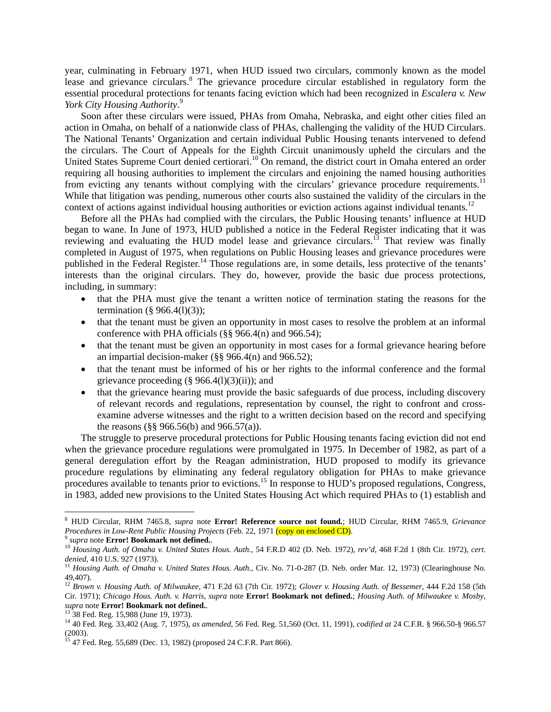year, culminating in February 1971, when HUD issued two circulars, commonly known as the model lease and grievance circulars.<sup>8</sup> The grievance procedure circular established in regulatory form the essential procedural protections for tenants facing eviction which had been recognized in *Escalera v. New York City Housing Authority*. 9

 Soon after these circulars were issued, PHAs from Omaha, Nebraska, and eight other cities filed an action in Omaha, on behalf of a nationwide class of PHAs, challenging the validity of the HUD Circulars. The National Tenants' Organization and certain individual Public Housing tenants intervened to defend the circulars. The Court of Appeals for the Eighth Circuit unanimously upheld the circulars and the United States Supreme Court denied certiorari.<sup>10</sup> On remand, the district court in Omaha entered an order requiring all housing authorities to implement the circulars and enjoining the named housing authorities from evicting any tenants without complying with the circulars' grievance procedure requirements.<sup>11</sup> While that litigation was pending, numerous other courts also sustained the validity of the circulars in the context of actions against individual housing authorities or eviction actions against individual tenants.<sup>12</sup>

 Before all the PHAs had complied with the circulars, the Public Housing tenants' influence at HUD began to wane. In June of 1973, HUD published a notice in the Federal Register indicating that it was reviewing and evaluating the HUD model lease and grievance circulars.<sup>13</sup> That review was finally completed in August of 1975, when regulations on Public Housing leases and grievance procedures were published in the Federal Register.<sup>14</sup> Those regulations are, in some details, less protective of the tenants' interests than the original circulars. They do, however, provide the basic due process protections, including, in summary:

- that the PHA must give the tenant a written notice of termination stating the reasons for the termination  $(\S 966.4(1)(3))$ ;
- that the tenant must be given an opportunity in most cases to resolve the problem at an informal conference with PHA officials (§§ 966.4(n) and 966.54);
- that the tenant must be given an opportunity in most cases for a formal grievance hearing before an impartial decision-maker (§§ 966.4(n) and 966.52);
- that the tenant must be informed of his or her rights to the informal conference and the formal grievance proceeding  $(\S 966.4(1)(3)(ii))$ ; and
- that the grievance hearing must provide the basic safeguards of due process, including discovery of relevant records and regulations, representation by counsel, the right to confront and crossexamine adverse witnesses and the right to a written decision based on the record and specifying the reasons (§§ 966.56(b) and 966.57(a)).

The struggle to preserve procedural protections for Public Housing tenants facing eviction did not end when the grievance procedure regulations were promulgated in 1975. In December of 1982, as part of a general deregulation effort by the Reagan administration, HUD proposed to modify its grievance procedure regulations by eliminating any federal regulatory obligation for PHAs to make grievance procedures available to tenants prior to evictions.15 In response to HUD's proposed regulations, Congress, in 1983, added new provisions to the United States Housing Act which required PHAs to (1) establish and

<sup>8</sup> HUD Circular, RHM 7465.8, *supra* note **Error! Reference source not found.**; HUD Circular, RHM 7465.9, *Grievance* 

*Procedures in Low-Rent Public Housing Projects* (Feb. 22, 1971 (copy on enclosed CD).<br><sup>9</sup> supra note Error! Bookmark not defined..<br><sup>10</sup> Housing Auth. of Omaha v. United States Hous. Auth., 54 F.R.D 402 (D. Neb. 1972), rev

<sup>&</sup>lt;sup>11</sup> Housing Auth. of Omaha v. United States Hous. Auth., Civ. No. 71-0-287 (D. Neb. order Mar. 12, 1973) (Clearinghouse No. 49,407).

<sup>12</sup> *Brown v. Housing Auth. of Milwaukee*, 471 F.2d 63 (7th Cir. 1972); *Glover v. Housing Auth. of Bessemer*, 444 F.2d 158 (5th Cir. 1971); *Chicago Hous. Auth. v. Harris*, *supra* note **Error! Bookmark not defined.**; *Housing Auth. of Milwaukee v. Mosby*, *supra* note **Error! Bookmark not defined.**. 13 38 Fed. Reg. 15,988 (June 19, 1973).

<sup>14 40</sup> Fed. Reg. 33,402 (Aug. 7, 1975), *as amended*, 56 Fed. Reg. 51,560 (Oct. 11, 1991), *codified at* 24 C.F.R. § 966.50-§ 966.57 (2003).

<sup>&</sup>lt;sup>15</sup> 47 Fed. Reg. 55,689 (Dec. 13, 1982) (proposed 24 C.F.R. Part 866).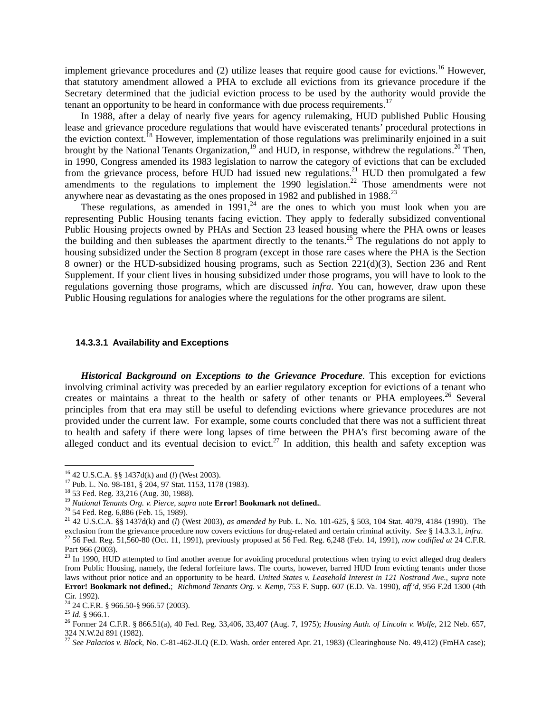implement grievance procedures and (2) utilize leases that require good cause for evictions.<sup>16</sup> However, that statutory amendment allowed a PHA to exclude all evictions from its grievance procedure if the Secretary determined that the judicial eviction process to be used by the authority would provide the tenant an opportunity to be heard in conformance with due process requirements.<sup>17</sup>

 In 1988, after a delay of nearly five years for agency rulemaking, HUD published Public Housing lease and grievance procedure regulations that would have eviscerated tenants' procedural protections in the eviction context.<sup>18</sup> However, implementation of those regulations was preliminarily enjoined in a suit brought by the National Tenants Organization,<sup>19</sup> and HUD, in response, withdrew the regulations.<sup>20</sup> Then, in 1990, Congress amended its 1983 legislation to narrow the category of evictions that can be excluded from the grievance process, before HUD had issued new regulations.<sup>21</sup> HUD then promulgated a few amendments to the regulations to implement the  $1990$  legislation.<sup>22</sup> Those amendments were not anywhere near as devastating as the ones proposed in 1982 and published in 1988.<sup>23</sup>

These regulations, as amended in  $1991<sup>24</sup>$  are the ones to which you must look when you are representing Public Housing tenants facing eviction. They apply to federally subsidized conventional Public Housing projects owned by PHAs and Section 23 leased housing where the PHA owns or leases the building and then subleases the apartment directly to the tenants.<sup>25</sup> The regulations do not apply to housing subsidized under the Section 8 program (except in those rare cases where the PHA is the Section 8 owner) or the HUD-subsidized housing programs, such as Section 221(d)(3), Section 236 and Rent Supplement. If your client lives in housing subsidized under those programs, you will have to look to the regulations governing those programs, which are discussed *infra*. You can, however, draw upon these Public Housing regulations for analogies where the regulations for the other programs are silent.

#### **14.3.3.1 Availability and Exceptions**

 *Historical Background on Exceptions to the Grievance Procedure.* This exception for evictions involving criminal activity was preceded by an earlier regulatory exception for evictions of a tenant who creates or maintains a threat to the health or safety of other tenants or PHA employees.<sup>26</sup> Several principles from that era may still be useful to defending evictions where grievance procedures are not provided under the current law. For example, some courts concluded that there was not a sufficient threat to health and safety if there were long lapses of time between the PHA's first becoming aware of the alleged conduct and its eventual decision to evict.<sup>27</sup> In addition, this health and safety exception was

<sup>&</sup>lt;sup>16</sup> 42 U.S.C.A. §§ 1437d(k) and (*l*) (West 2003).

<sup>&</sup>lt;sup>17</sup> Pub. L. No. 98-181, § 204, 97 Stat. 1153, 1178 (1983).

<sup>18 53</sup> Fed. Reg. 33,216 (Aug. 30, 1988).

<sup>19</sup> *National Tenants Org. v. Pierce*, *supra* note **Error! Bookmark not defined.**. 20 54 Fed. Reg. 6,886 (Feb. 15, 1989).

<sup>21 42</sup> U.S.C.A. §§ 1437d(k) and (*l*) (West 2003), *as amended by* Pub. L. No. 101-625, § 503, 104 Stat. 4079, 4184 (1990). The exclusion from the grievance procedure now covers evictions for drug-related and certain criminal activity. See § 14.3.3.1, infra.<br><sup>22</sup> 56 Fed. Reg. 51,560-80 (Oct. 11, 1991), previously proposed at 56 Fed. Reg. 6,248 (Feb Part 966 (2003).

 $^{23}$  In 1990, HUD attempted to find another avenue for avoiding procedural protections when trying to evict alleged drug dealers from Public Housing, namely, the federal forfeiture laws. The courts, however, barred HUD from evicting tenants under those laws without prior notice and an opportunity to be heard. *United States v. Leasehold Interest in 121 Nostrand Ave*., *supra* note **Error! Bookmark not defined.**; *Richmond Tenants Org. v. Kemp*, 753 F. Supp. 607 (E.D. Va. 1990), *aff'd*, 956 F.2d 1300 (4th Cir. 1992).

<sup>&</sup>lt;sup>24</sup> 24 C.F.R. § 966.50-§ 966.57 (2003).<br><sup>25</sup> *Id.* § 966.1.

<sup>&</sup>lt;sup>26</sup> Former 24 C.F.R. § 866.51(a), 40 Fed. Reg. 33,406, 33,407 (Aug. 7, 1975); *Housing Auth. of Lincoln v. Wolfe*, 212 Neb. 657, 324 N.W.2d 891 (1982).

<sup>&</sup>lt;sup>27</sup> See Palacios v. Block, No. C-81-462-JLQ (E.D. Wash. order entered Apr. 21, 1983) (Clearinghouse No. 49,412) (FmHA case);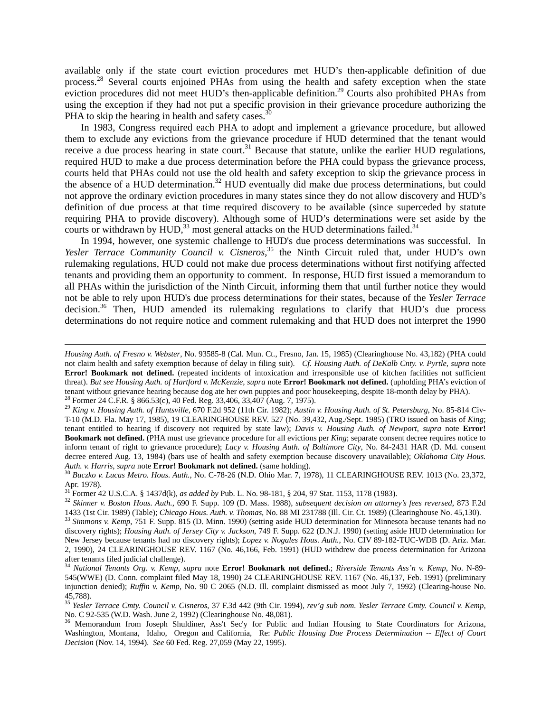available only if the state court eviction procedures met HUD's then-applicable definition of due process.<sup>28</sup> Several courts enjoined PHAs from using the health and safety exception when the state eviction procedures did not meet HUD's then-applicable definition.<sup>29</sup> Courts also prohibited PHAs from using the exception if they had not put a specific provision in their grievance procedure authorizing the PHA to skip the hearing in health and safety cases.<sup>3</sup>

In 1983, Congress required each PHA to adopt and implement a grievance procedure, but allowed them to exclude any evictions from the grievance procedure if HUD determined that the tenant would receive a due process hearing in state court.<sup>31</sup> Because that statute, unlike the earlier HUD regulations, required HUD to make a due process determination before the PHA could bypass the grievance process, courts held that PHAs could not use the old health and safety exception to skip the grievance process in the absence of a HUD determination.<sup>32</sup> HUD eventually did make due process determinations, but could not approve the ordinary eviction procedures in many states since they do not allow discovery and HUD's definition of due process at that time required discovery to be available (since superceded by statute requiring PHA to provide discovery). Although some of HUD's determinations were set aside by the courts or withdrawn by  $HUD$ ,<sup>33</sup> most general attacks on the HUD determinations failed.<sup>34</sup>

 In 1994, however, one systemic challenge to HUD's due process determinations was successful. In *Yesler Terrace Community Council v. Cisneros*, 35 the Ninth Circuit ruled that, under HUD's own rulemaking regulations, HUD could not make due process determinations without first notifying affected tenants and providing them an opportunity to comment. In response, HUD first issued a memorandum to all PHAs within the jurisdiction of the Ninth Circuit, informing them that until further notice they would not be able to rely upon HUD's due process determinations for their states, because of the *Yesler Terrace* decision.<sup>36</sup> Then, HUD amended its rulemaking regulations to clarify that HUD's due process determinations do not require notice and comment rulemaking and that HUD does not interpret the 1990

*Housing Auth. of Fresno v. Webster*, No. 93585-8 (Cal. Mun. Ct., Fresno, Jan. 15, 1985) (Clearinghouse No. 43,182) (PHA could not claim health and safety exemption because of delay in filing suit). *Cf. Housing Auth. of DeKalb Cnty. v. Pyrtle*, *supra* note **Error! Bookmark not defined.** (repeated incidents of intoxication and irresponsible use of kitchen facilities not sufficient threat). *But see Housing Auth. of Hartford v. McKenzie*, *supra* note **Error! Bookmark not defined.** (upholding PHA's eviction of tenant without grievance hearing because dog ate her own puppies and poor housekeeping, despite 18-month delay by PHA).<br><sup>28</sup> Former 24 C.F.R. § 866.53(c), 40 Fed. Reg. 33,406, 33,407 (Aug. 7, 1975).<br><sup>29</sup> King v. Housing A

T-10 (M.D. Fla. May 17, 1985), 19 CLEARINGHOUSE REV. 527 (No. 39,432, Aug./Sept. 1985) (TRO issued on basis of *King*; tenant entitled to hearing if discovery not required by state law); *Davis v. Housing Auth. of Newport*, *supra* note **Error! Bookmark not defined.** (PHA must use grievance procedure for all evictions per *King*; separate consent decree requires notice to inform tenant of right to grievance procedure); *Lacy v. Housing Auth. of Baltimore City*, No. 84-2431 HAR (D. Md. consent decree entered Aug. 13, 1984) (bars use of health and safety exemption because discovery unavailable); *Oklahoma City Hous. Auth. v. Harris*, *supra* note **Error! Bookmark not defined.** (same holding). 30 *Buczko v. Lucas Metro. Hous. Auth.*, No. C-78-26 (N.D. Ohio Mar. 7, 1978), 11 CLEARINGHOUSE REV. 1013 (No. 23,372,

Apr. 1978).<br><sup>31</sup> Former 42 U.S.C.A. § 1437d(k), *as added by* Pub. L. No. 98-181, § 204, 97 Stat. 1153, 1178 (1983).

<sup>&</sup>lt;sup>32</sup> Skinner v. Boston Hous. Auth., 690 F. Supp. 109 (D. Mass. 1988), subsequent decision on attorney's fees reversed, 873 F.2d 1433 (1st Cir. 1989) (Table); Chicago Hous. Auth. v. Thomas, No. 88 MI 231788 (Ill. Cir. Ct. 1

<sup>33</sup> Simmons v. Kemp, 751 F. Supp. 815 (D. Minn. 1990) (setting aside HUD determination for Minnesota because tenants had no discovery rights); *Housing Auth. of Jersey City v. Jackson*, 749 F. Supp. 622 (D.N.J. 1990) (setting aside HUD determination for New Jersey because tenants had no discovery rights); *Lopez v. Nogales Hous. Auth.*, No. CIV 89-182-TUC-WDB (D. Ariz. Mar. 2, 1990), 24 CLEARINGHOUSE REV. 1167 (No. 46,166, Feb. 1991) (HUD withdrew due process determination for Arizona after tenants filed judicial challenge). 34 *National Tenants Org. v. Kemp*, *supra* note **Error! Bookmark not defined.**; *Riverside Tenants Ass'n v. Kemp*, No. N-89-

<sup>545(</sup>WWE) (D. Conn. complaint filed May 18, 1990) 24 CLEARINGHOUSE REV. 1167 (No. 46,137, Feb. 1991) (preliminary injunction denied); *Ruffin v. Kemp*, No. 90 C 2065 (N.D. Ill. complaint dismissed as moot July 7, 1992) (Clearing-house No. 45,788).

<sup>35</sup> *Yesler Terrace Cmty. Council v. Cisneros*, 37 F.3d 442 (9th Cir. 1994), *rev'g sub nom. Yesler Terrace Cmty. Council v. Kemp*, No. C 92-535 (W.D. Wash. June 2, 1992) (Clearinghouse No. 48,081).

<sup>36</sup> Memorandum from Joseph Shuldiner, Ass't Sec'y for Public and Indian Housing to State Coordinators for Arizona, Washington, Montana, Idaho, Oregon and California, Re: *Public Housing Due Process Determination -- Effect of Court Decision* (Nov. 14, 1994). *See* 60 Fed. Reg. 27,059 (May 22, 1995).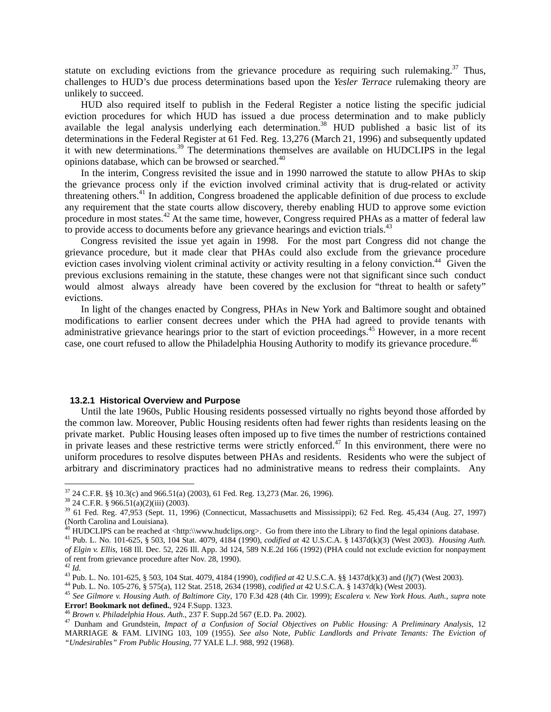statute on excluding evictions from the grievance procedure as requiring such rulemaking. $37$  Thus, challenges to HUD's due process determinations based upon the *Yesler Terrace* rulemaking theory are unlikely to succeed.

HUD also required itself to publish in the Federal Register a notice listing the specific judicial eviction procedures for which HUD has issued a due process determination and to make publicly available the legal analysis underlying each determination.<sup>38</sup> HUD published a basic list of its determinations in the Federal Register at 61 Fed. Reg. 13,276 (March 21, 1996) and subsequently updated it with new determinations.<sup>39</sup> The determinations themselves are available on HUDCLIPS in the legal opinions database, which can be browsed or searched.<sup>40</sup>

 In the interim, Congress revisited the issue and in 1990 narrowed the statute to allow PHAs to skip the grievance process only if the eviction involved criminal activity that is drug-related or activity threatening others.<sup>41</sup> In addition, Congress broadened the applicable definition of due process to exclude any requirement that the state courts allow discovery, thereby enabling HUD to approve some eviction procedure in most states.42 At the same time, however, Congress required PHAs as a matter of federal law to provide access to documents before any grievance hearings and eviction trials.<sup>43</sup>

 Congress revisited the issue yet again in 1998. For the most part Congress did not change the grievance procedure, but it made clear that PHAs could also exclude from the grievance procedure eviction cases involving violent criminal activity or activity resulting in a felony conviction.<sup>44</sup> Given the previous exclusions remaining in the statute, these changes were not that significant since such conduct would almost always already have been covered by the exclusion for "threat to health or safety" evictions.

In light of the changes enacted by Congress, PHAs in New York and Baltimore sought and obtained modifications to earlier consent decrees under which the PHA had agreed to provide tenants with administrative grievance hearings prior to the start of eviction proceedings.<sup>45</sup> However, in a more recent case, one court refused to allow the Philadelphia Housing Authority to modify its grievance procedure.<sup>46</sup>

#### **13.2.1 Historical Overview and Purpose**

Until the late 1960s, Public Housing residents possessed virtually no rights beyond those afforded by the common law. Moreover, Public Housing residents often had fewer rights than residents leasing on the private market. Public Housing leases often imposed up to five times the number of restrictions contained in private leases and these restrictive terms were strictly enforced. $47$  In this environment, there were no uniform procedures to resolve disputes between PHAs and residents. Residents who were the subject of arbitrary and discriminatory practices had no administrative means to redress their complaints. Any

 $37$  24 C.F.R. §§ 10.3(c) and 966.51(a) (2003), 61 Fed. Reg. 13,273 (Mar. 26, 1996).

 $38$  24 C.F.R. § 966.51(a)(2)(iii) (2003).

<sup>39 61</sup> Fed. Reg. 47,953 (Sept. 11, 1996) (Connecticut, Massachusetts and Mississippi); 62 Fed. Reg. 45,434 (Aug. 27, 1997) (North Carolina and Louisiana).<br><sup>40</sup> HUDCLIPS can be reached at <http:\\www.hudclips.org>. Go from there into the Library to find the legal opinions database.

<sup>&</sup>lt;sup>41</sup> Pub. L. No. 101-625, § 503, 104 Stat. 4079, 4184 (1990), codified at 42 U.S.C.A. § 1437d(k)(3) (West 2003). Housing Auth. *of Elgin v. Ellis*, 168 Ill. Dec. 52, 226 Ill. App. 3d 124, 589 N.E.2d 166 (1992) (PHA could not exclude eviction for nonpayment of rent from grievance procedure after Nov. 28, 1990).<br><sup>42</sup> Id.

<sup>&</sup>lt;sup>43</sup> Pub. L. No. 101-625, § 503, 104 Stat. 4079, 4184 (1990), *codified at* 42 U.S.C.A. §§ 1437d(k)(3) and (*l*)(7) (West 2003).<br><sup>44</sup> Pub. L. No. 105-276, § 575(a), 112 Stat. 2518, 2634 (1998), *codified at* 42 U.S.C.A. §

**Error! Bookmark not defined.**, 924 F.Supp. 1323.<br><sup>46</sup> Brown v. Philadelphia Hous. Auth., 237 F. Supp.2d 567 (E.D. Pa. 2002).<br><sup>47</sup> Dunham and Grundstein, *Impact of a Confusion of Social Objectives on Public Housing: A Pre* 

MARRIAGE & FAM. LIVING 103, 109 (1955). *See also* Note, *Public Landlords and Private Tenants: The Eviction of "Undesirables" From Public Housing*, 77 YALE L.J. 988, 992 (1968).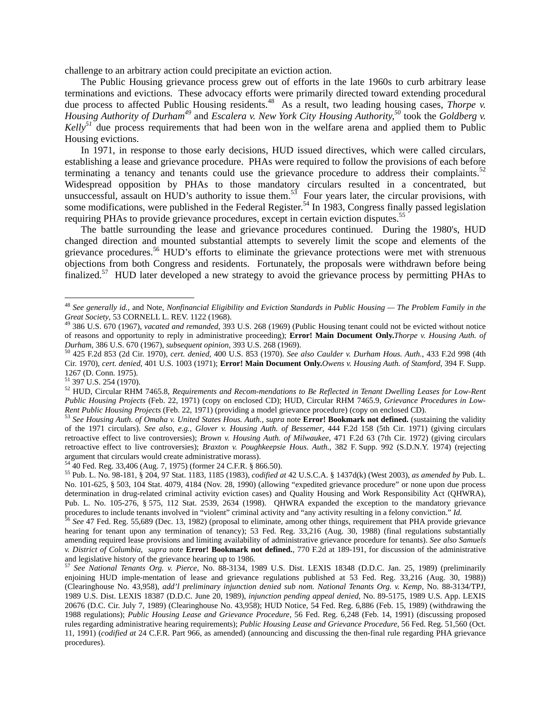challenge to an arbitrary action could precipitate an eviction action.

The Public Housing grievance process grew out of efforts in the late 1960s to curb arbitrary lease terminations and evictions. These advocacy efforts were primarily directed toward extending procedural due process to affected Public Housing residents.<sup>48</sup> As a result, two leading housing cases, *Thorpe v. Housing Authority of Durham<sup>49</sup>* and *Escalera v. New York City Housing Authority,50* took the *Goldberg v. Kelly<sup>51</sup>* due process requirements that had been won in the welfare arena and applied them to Public Housing evictions.

In 1971, in response to those early decisions, HUD issued directives, which were called circulars, establishing a lease and grievance procedure. PHAs were required to follow the provisions of each before terminating a tenancy and tenants could use the grievance procedure to address their complaints.<sup>52</sup> Widespread opposition by PHAs to those mandatory circulars resulted in a concentrated, but unsuccessful, assault on HUD's authority to issue them.<sup>53</sup> Four years later, the circular provisions, with some modifications, were published in the Federal Register.<sup>54</sup> In 1983, Congress finally passed legislation requiring PHAs to provide grievance procedures, except in certain eviction disputes.<sup>55</sup>

 The battle surrounding the lease and grievance procedures continued. During the 1980's, HUD changed direction and mounted substantial attempts to severely limit the scope and elements of the grievance procedures.<sup>56</sup> HUD's efforts to eliminate the grievance protections were met with strenuous objections from both Congress and residents. Fortunately, the proposals were withdrawn before being finalized.<sup>57</sup> HUD later developed a new strategy to avoid the grievance process by permitting PHAs to

<sup>48</sup> *See generally id.*, and Note, *Nonfinancial Eligibility and Eviction Standards in Public Housing — The Problem Family in the Great Society*, 53 CORNELL L. REV. 1122 (1968). 49 386 U.S. 670 (1967), *vacated and remanded*, 393 U.S. 268 (1969) (Public Housing tenant could not be evicted without notice

of reasons and opportunity to reply in administrative proceeding); **Error! Main Document Only.***Thorpe v. Housing Auth. of*  Durham, 386 U.S. 670 (1967), subsequent opinion, 393 U.S. 268 (1969).<br><sup>50</sup> 425 F.2d 853 (2d Cir. 1970), cert. denied, 400 U.S. 853 (1970). See also Caulder v. Durham Hous. Auth., 433 F.2d 998 (4th

Cir. 1970), *cert. denied*, 401 U.S. 1003 (1971); **Error! Main Document Only.***Owens v. Housing Auth. of Stamford*, 394 F. Supp. 1267 (D. Conn. 1975).

 $51$  397 U.S. 254 (1970).

<sup>52</sup> HUD, Circular RHM 7465.8, *Requirements and Recom-mendations to Be Reflected in Tenant Dwelling Leases for Low-Rent Public Housing Projects* (Feb. 22, 1971) (copy on enclosed CD); HUD, Circular RHM 7465.9, *Grievance Procedures in Low-*Rent Public Housing Projects (Feb. 22, 1971) (providing a model grievance procedure) (copy on enclosed CD).<br><sup>53</sup> See Housing Auth. of Omaha v. United States Hous. Auth., supra note **Error! Bookmark not defined.** (sustainin

of the 1971 circulars). *See also*, *e.g.*, *Glover v. Housing Auth. of Bessemer*, 444 F.2d 158 (5th Cir. 1971) (giving circulars retroactive effect to live controversies); *Brown v. Housing Auth. of Milwaukee*, 471 F.2d 63 (7th Cir. 1972) (giving circulars retroactive effect to live controversies); *Braxton v. Poughkeepsie Hous. Auth.*, 382 F. Supp. 992 (S.D.N.Y. 1974) (rejecting argument that circulars would create administrative morass).

<sup>54 40</sup> Fed. Reg. 33,406 (Aug. 7, 1975) (former 24 C.F.R. § 866.50).

<sup>55</sup> Pub. L. No. 98-181, § 204, 97 Stat. 1183, 1185 (1983), *codified at* 42 U.S.C.A. § 1437d(k) (West 2003), *as amended by* Pub. L. No. 101-625, § 503, 104 Stat. 4079, 4184 (Nov. 28, 1990) (allowing "expedited grievance procedure" or none upon due process determination in drug-related criminal activity eviction cases) and Quality Housing and Work Responsibility Act (QHWRA), Pub. L. No. 105-276, § 575, 112 Stat. 2539, 2634 (1998). QHWRA expanded the exception to the mandatory grievance procedures to include tenants involved in "violent" criminal activity and "any activity resulting in a felony conviction." Id.<br><sup>56</sup> See 47 Fed. Reg. 55,689 (Dec. 13, 1982) (proposal to eliminate, among other things, requir

hearing for tenant upon any termination of tenancy); 53 Fed. Reg. 33,216 (Aug. 30, 1988) (final regulations substantially amending required lease provisions and limiting availability of administrative grievance procedure for tenants). *See also Samuels v. District of Columbia*, *supra* note **Error! Bookmark not defined.**, 770 F.2d at 189-191, for discussion of the administrative

<sup>&</sup>lt;sup>57</sup> See National Tenants Org. v. Pierce, No. 88-3134, 1989 U.S. Dist. LEXIS 18348 (D.D.C. Jan. 25, 1989) (preliminarily enjoining HUD imple-mentation of lease and grievance regulations published at 53 Fed. Reg. 33,216 (Aug. 30, 1988)) (Clearinghouse No. 43,958), *add'l preliminary injunction denied sub nom. National Tenants Org. v. Kemp*, No. 88-3134/TPJ, 1989 U.S. Dist. LEXIS 18387 (D.D.C. June 20, 1989), *injunction pending appeal denied*, No. 89-5175, 1989 U.S. App. LEXIS 20676 (D.C. Cir. July 7, 1989) (Clearinghouse No. 43,958); HUD Notice, 54 Fed. Reg. 6,886 (Feb. 15, 1989) (withdrawing the 1988 regulations); *Public Housing Lease and Grievance Procedure,* 56 Fed. Reg. 6,248 (Feb. 14, 1991) (discussing proposed rules regarding administrative hearing requirements); *Public Housing Lease and Grievance Procedure,* 56 Fed. Reg. 51,560 (Oct. 11, 1991) (*codified at* 24 C.F.R. Part 966, as amended) (announcing and discussing the then-final rule regarding PHA grievance procedures).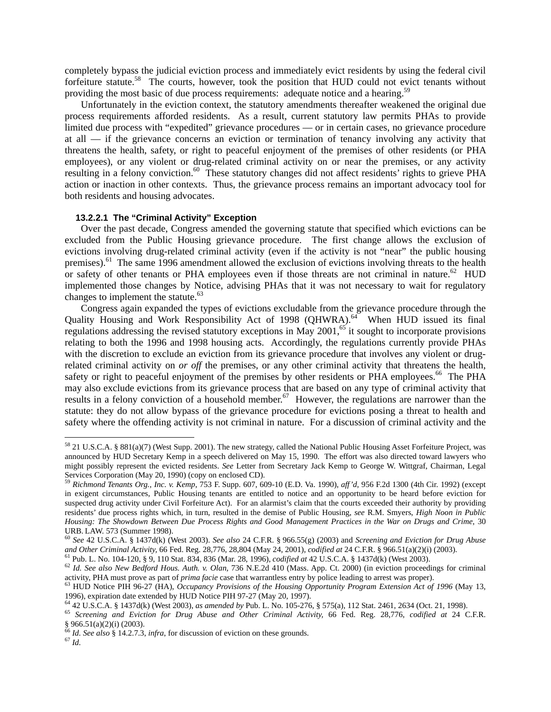completely bypass the judicial eviction process and immediately evict residents by using the federal civil forfeiture statute.<sup>58</sup> The courts, however, took the position that HUD could not evict tenants without providing the most basic of due process requirements: adequate notice and a hearing.<sup>59</sup>

Unfortunately in the eviction context, the statutory amendments thereafter weakened the original due process requirements afforded residents. As a result, current statutory law permits PHAs to provide limited due process with "expedited" grievance procedures — or in certain cases, no grievance procedure at all — if the grievance concerns an eviction or termination of tenancy involving any activity that threatens the health, safety, or right to peaceful enjoyment of the premises of other residents (or PHA employees), or any violent or drug-related criminal activity on or near the premises, or any activity resulting in a felony conviction.<sup>60</sup> These statutory changes did not affect residents' rights to grieve PHA action or inaction in other contexts. Thus, the grievance process remains an important advocacy tool for both residents and housing advocates.

# **13.2.2.1 The "Criminal Activity" Exception**

Over the past decade, Congress amended the governing statute that specified which evictions can be excluded from the Public Housing grievance procedure. The first change allows the exclusion of evictions involving drug-related criminal activity (even if the activity is not "near" the public housing premises).<sup>61</sup> The same 1996 amendment allowed the exclusion of evictions involving threats to the health or safety of other tenants or PHA employees even if those threats are not criminal in nature.<sup>62</sup> HUD implemented those changes by Notice, advising PHAs that it was not necessary to wait for regulatory changes to implement the statute. $63$ 

 Congress again expanded the types of evictions excludable from the grievance procedure through the Quality Housing and Work Responsibility Act of 1998 (QHWRA).<sup>64</sup> When HUD issued its final regulations addressing the revised statutory exceptions in May 2001,<sup>65</sup> it sought to incorporate provisions relating to both the 1996 and 1998 housing acts. Accordingly, the regulations currently provide PHAs with the discretion to exclude an eviction from its grievance procedure that involves any violent or drugrelated criminal activity on *or off* the premises, or any other criminal activity that threatens the health, safety or right to peaceful enjoyment of the premises by other residents or PHA employees.<sup>66</sup> The PHA may also exclude evictions from its grievance process that are based on any type of criminal activity that results in a felony conviction of a household member.<sup>67</sup> However, the regulations are narrower than the statute: they do not allow bypass of the grievance procedure for evictions posing a threat to health and safety where the offending activity is not criminal in nature. For a discussion of criminal activity and the

 $58$  21 U.S.C.A. § 881(a)(7) (West Supp. 2001). The new strategy, called the National Public Housing Asset Forfeiture Project, was announced by HUD Secretary Kemp in a speech delivered on May 15, 1990. The effort was also directed toward lawyers who might possibly represent the evicted residents. *See* Letter from Secretary Jack Kemp to George W. Wittgraf, Chairman, Legal Services Corporation (May 20, 1990) (copy on enclosed CD).

<sup>59</sup> *Richmond Tenants Org., Inc. v. Kemp*, 753 F. Supp. 607, 609-10 (E.D. Va. 1990), *aff'd*, 956 F.2d 1300 (4th Cir. 1992) (except in exigent circumstances, Public Housing tenants are entitled to notice and an opportunity to be heard before eviction for suspected drug activity under Civil Forfeiture Act). For an alarmist's claim that the courts exceeded their authority by providing residents' due process rights which, in turn, resulted in the demise of Public Housing, *see* R.M. Smyers, *High Noon in Public Housing: The Showdown Between Due Process Rights and Good Management Practices in the War on Drugs and Crime*, 30

URB. LAW. 573 (Summer 1998).<br><sup>60</sup> *See* 42 U.S.C.A. § 1437d(k) (West 2003). *See also* 24 C.F.R. § 966.55(g) (2003) and *Screening and Eviction for Drug Abuse and Other Criminal Activity,* 66 Fed. Reg. 28,776, 28,804 (May

<sup>&</sup>lt;sup>61</sup> Pub. L. No. 104-120, § 9, 110 Stat. 834, 836 (Mar. 28, 1996), *codified at* 42 U.S.C.A. § 1437d(k) (West 2003).<br><sup>62</sup> Id. See also New Bedford Hous. Auth. v. Olan, 736 N.E.2d 410 (Mass. App. Ct. 2000) (in eviction pro

 $^{63}$  HUD Notice PIH 96-27 (HA), Occupancy Provisions of the Housing Opportunity Program Extension Act of 1996 (May 13, 1996), expiration date extended by HUD Notice PIH 97-27 (May 20, 1997).<br><sup>64</sup> 42 U.S.C.A. § 1437d(k) (West 2003), *as amended by* Pub. L. No. 105-276, § 575(a), 112 Stat. 2461, 2634 (Oct. 21, 1998).

<sup>&</sup>lt;sup>65</sup> Screening and Eviction for Drug Abuse and Other Criminal Activity, 66 Fed. Reg. 28,776, codified at 24 C.F.R. § 966.51(a)(2)(i) (2003).

<sup>66</sup> *Id. See also* § 14.2.7.3, *infra*, for discussion of eviction on these grounds. 67 *Id.*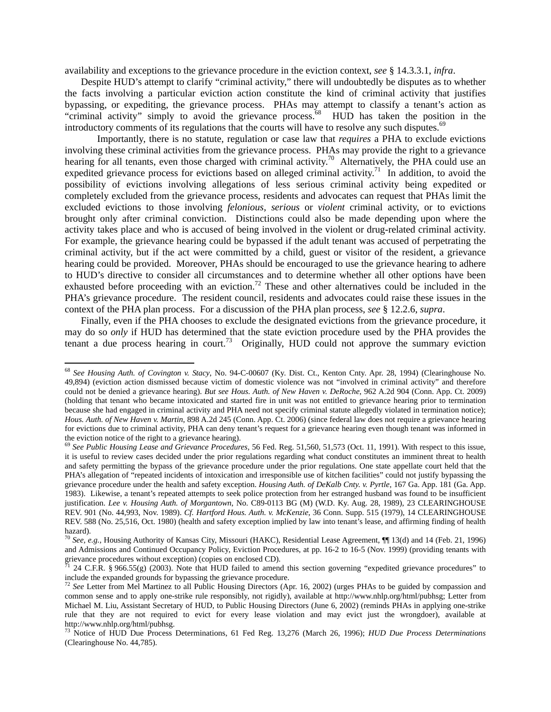availability and exceptions to the grievance procedure in the eviction context, *see* § 14.3.3.1, *infra*.

Despite HUD's attempt to clarify "criminal activity," there will undoubtedly be disputes as to whether the facts involving a particular eviction action constitute the kind of criminal activity that justifies bypassing, or expediting, the grievance process. PHAs may attempt to classify a tenant's action as "criminal activity" simply to avoid the grievance process.<sup>68</sup> HUD has taken the position in the introductory comments of its regulations that the courts will have to resolve any such disputes.<sup>69</sup>

 Importantly, there is no statute, regulation or case law that *requires* a PHA to exclude evictions involving these criminal activities from the grievance process. PHAs may provide the right to a grievance hearing for all tenants, even those charged with criminal activity.<sup>70</sup> Alternatively, the PHA could use an expedited grievance process for evictions based on alleged criminal activity.<sup>71</sup> In addition, to avoid the possibility of evictions involving allegations of less serious criminal activity being expedited or completely excluded from the grievance process, residents and advocates can request that PHAs limit the excluded evictions to those involving *felonious, serious* or *violent* criminal activity, or to evictions brought only after criminal conviction. Distinctions could also be made depending upon where the activity takes place and who is accused of being involved in the violent or drug-related criminal activity. For example, the grievance hearing could be bypassed if the adult tenant was accused of perpetrating the criminal activity, but if the act were committed by a child, guest or visitor of the resident, a grievance hearing could be provided. Moreover, PHAs should be encouraged to use the grievance hearing to adhere to HUD's directive to consider all circumstances and to determine whether all other options have been exhausted before proceeding with an eviction.<sup>72</sup> These and other alternatives could be included in the PHA's grievance procedure. The resident council, residents and advocates could raise these issues in the context of the PHA plan process. For a discussion of the PHA plan process, *see* § 12.2.6, *supra*.

 Finally, even if the PHA chooses to exclude the designated evictions from the grievance procedure, it may do so *only* if HUD has determined that the state eviction procedure used by the PHA provides the tenant a due process hearing in court.<sup>73</sup> Originally, HUD could not approve the summary eviction

<sup>68</sup> *See Housing Auth. of Covington v. Stacy*, No. 94-C-00607 (Ky. Dist. Ct., Kenton Cnty. Apr. 28, 1994) (Clearinghouse No. 49,894) (eviction action dismissed because victim of domestic violence was not "involved in criminal activity" and therefore could not be denied a grievance hearing). *But see Hous. Auth. of New Haven v. DeRoche*, 962 A.2d 904 (Conn. App. Ct. 2009) (holding that tenant who became intoxicated and started fire in unit was not entitled to grievance hearing prior to termination because she had engaged in criminal activity and PHA need not specify criminal statute allegedly violated in termination notice); *Hous. Auth. of New Haven v. Martin*, 898 A.2d 245 (Conn. App. Ct. 2006) (since federal law does not require a grievance hearing for evictions due to criminal activity, PHA can deny tenant's request for a grievance hearing even though tenant was informed in

<sup>&</sup>lt;sup>69</sup> See Public Housing Lease and Grievance Procedures, 56 Fed. Reg. 51,560, 51,573 (Oct. 11, 1991). With respect to this issue, it is useful to review cases decided under the prior regulations regarding what conduct constitutes an imminent threat to health and safety permitting the bypass of the grievance procedure under the prior regulations. One state appellate court held that the PHA's allegation of "repeated incidents of intoxication and irresponsible use of kitchen facilities" could not justify bypassing the grievance procedure under the health and safety exception. *Housing Auth. of DeKalb Cnty. v. Pyrtle*, 167 Ga. App. 181 (Ga. App. 1983). Likewise, a tenant's repeated attempts to seek police protection from her estranged husband was found to be insufficient justification. *Lee v. Housing Auth. of Morgantown*, No. C89-0113 BG (M) (W.D. Ky. Aug. 28, 1989), 23 CLEARINGHOUSE REV. 901 (No. 44,993, Nov. 1989). *Cf. Hartford Hous. Auth. v. McKenzie*, 36 Conn. Supp. 515 (1979), 14 CLEARINGHOUSE REV. 588 (No. 25,516, Oct. 1980) (health and safety exception implied by law into tenant's lease, and affirming finding of health hazard).

<sup>70</sup> *See, e.g.,* Housing Authority of Kansas City, Missouri (HAKC), Residential Lease Agreement, ¶¶ 13(d) and 14 (Feb. 21, 1996) and Admissions and Continued Occupancy Policy, Eviction Procedures, at pp. 16-2 to 16-5 (Nov. 1999) (providing tenants with grievance procedures without exception) (copies on enclosed CD).

<sup>24</sup> C.F.R. § 966.55(g) (2003). Note that HUD failed to amend this section governing "expedited grievance procedures" to include the expanded grounds for bypassing the grievance procedure.

<sup>72</sup> *See* Letter from Mel Martinez to all Public Housing Directors (Apr. 16, 2002) (urges PHAs to be guided by compassion and common sense and to apply one-strike rule responsibly, not rigidly), available at http://www.nhlp.org/html/pubhsg; Letter from Michael M. Liu, Assistant Secretary of HUD, to Public Housing Directors (June 6, 2002) (reminds PHAs in applying one-strike rule that they are not required to evict for every lease violation and may evict just the wrongdoer), available at http://www.nhlp.org/html/pubhsg.

<sup>73</sup> Notice of HUD Due Process Determinations, 61 Fed Reg. 13,276 (March 26, 1996); *HUD Due Process Determinations*  (Clearinghouse No. 44,785).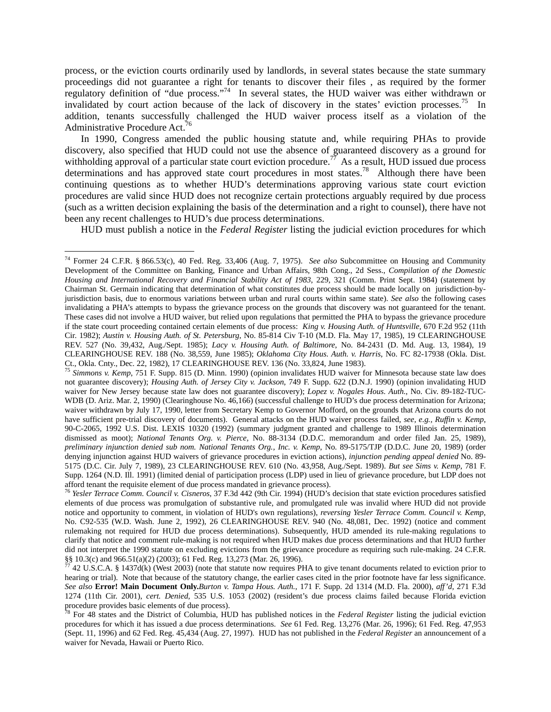process, or the eviction courts ordinarily used by landlords, in several states because the state summary proceedings did not guarantee a right for tenants to discover their files , as required by the former regulatory definition of "due process."<sup>74</sup> In several states, the HUD waiver was either withdrawn or invalidated by court action because of the lack of discovery in the states' eviction processes.<sup>75</sup> In addition, tenants successfully challenged the HUD waiver process itself as a violation of the Administrative Procedure Act.<sup>76</sup>

 In 1990, Congress amended the public housing statute and, while requiring PHAs to provide discovery, also specified that HUD could not use the absence of guaranteed discovery as a ground for withholding approval of a particular state court eviction procedure.<sup>77</sup> As a result, HUD issued due process determinations and has approved state court procedures in most states.<sup>78</sup> Although there have been continuing questions as to whether HUD's determinations approving various state court eviction procedures are valid since HUD does not recognize certain protections arguably required by due process (such as a written decision explaining the basis of the determination and a right to counsel), there have not been any recent challenges to HUD's due process determinations.

HUD must publish a notice in the *Federal Register* listing the judicial eviction procedures for which

<sup>74</sup> Former 24 C.F.R. § 866.53(c), 40 Fed. Reg. 33,406 (Aug. 7, 1975). *See also* Subcommittee on Housing and Community Development of the Committee on Banking, Finance and Urban Affairs, 98th Cong., 2d Sess., *Compilation of the Domestic Housing and International Recovery and Financial Stability Act of 1983*, 229, 321 (Comm. Print Sept. 1984) (statement by Chairman St. Germain indicating that determination of what constitutes due process should be made locally on jurisdiction-byjurisdiction basis, due to enormous variations between urban and rural courts within same state). *See also* the following cases invalidating a PHA's attempts to bypass the grievance process on the grounds that discovery was not guaranteed for the tenant. These cases did not involve a HUD waiver, but relied upon regulations that permitted the PHA to bypass the grievance procedure if the state court proceeding contained certain elements of due process: *King v. Housing Auth. of Huntsville,* 670 F.2d 952 (11th Cir. 1982); *Austin v. Housing Auth. of St. Petersburg*, No. 85-814 Civ T-10 (M.D. Fla. May 17, 1985), 19 CLEARINGHOUSE REV. 527 (No. 39,432, Aug./Sept. 1985); *Lacy v. Housing Auth. of Baltimore*, No. 84-2431 (D. Md. Aug. 13, 1984), 19 CLEARINGHOUSE REV. 188 (No. 38,559, June 1985); *Oklahoma City Hous. Auth. v. Harris*, No. FC 82-17938 (Okla. Dist. Ct., Okla. Cnty., Dec. 22, 1982), 17 CLEARINGHOUSE REV. 136 (No. 33,824, June 1983). 75 *Simmons v. Kemp*, 751 F. Supp. 815 (D. Minn. 1990) (opinion invalidates HUD waiver for Minnesota because state law does

not guarantee discovery); *Housing Auth. of Jersey City v. Jackson*, 749 F. Supp. 622 (D.N.J. 1990) (opinion invalidating HUD waiver for New Jersey because state law does not guarantee discovery); *Lopez v. Nogales Hous. Auth.*, No. Civ. 89-182-TUC-WDB (D. Ariz. Mar. 2, 1990) (Clearinghouse No. 46,166) (successful challenge to HUD's due process determination for Arizona; waiver withdrawn by July 17, 1990, letter from Secretary Kemp to Governor Mofford, on the grounds that Arizona courts do not have sufficient pre-trial discovery of documents). General attacks on the HUD waiver process failed, *see, e.g., Ruffin v. Kemp*, 90-C-2065, 1992 U.S. Dist. LEXIS 10320 (1992) (summary judgment granted and challenge to 1989 Illinois determination dismissed as moot); *National Tenants Org. v. Pierce,* No. 88-3134 (D.D.C. memorandum and order filed Jan. 25, 1989), *preliminary injunction denied sub nom. National Tenants Org., Inc. v. Kemp*, No. 89-5175/TJP (D.D.C. June 20, 1989) (order denying injunction against HUD waivers of grievance procedures in eviction actions), *injunction pending appeal denied* No. 89- 5175 (D.C. Cir. July 7, 1989), 23 CLEARINGHOUSE REV. 610 (No. 43,958, Aug./Sept. 1989). *But see Sims v. Kemp*, 781 F. Supp. 1264 (N.D. Ill. 1991) (limited denial of participation process (LDP) used in lieu of grievance procedure, but LDP does not afford tenant the requisite element of due process mandated in grievance process).

<sup>&</sup>lt;sup>76</sup> Yesler Terrace Comm. Council v. Cisneros, 37 F.3d 442 (9th Cir. 1994) (HUD's decision that state eviction procedures satisfied elements of due process was promulgation of substantive rule, and promulgated rule was invalid where HUD did not provide notice and opportunity to comment, in violation of HUD's own regulations), *reversing Yesler Terrace Comm. Council v. Kemp*, No. C92-535 (W.D. Wash. June 2, 1992), 26 CLEARINGHOUSE REV. 940 (No. 48,081, Dec. 1992) (notice and comment rulemaking not required for HUD due process determinations). Subsequently, HUD amended its rule-making regulations to clarify that notice and comment rule-making is not required when HUD makes due process determinations and that HUD further did not interpret the 1990 statute on excluding evictions from the grievance procedure as requiring such rule-making. 24 C.F.R. §§ 10.3(c) and 966.51(a)(2) (2003); 61 Fed. Reg. 13,273 (Mar. 26, 1996).

<sup>77 42</sup> U.S.C.A. § 1437d(k) (West 2003) (note that statute now requires PHA to give tenant documents related to eviction prior to hearing or trial). Note that because of the statutory change, the earlier cases cited in the prior footnote have far less significance. *See also* **Error! Main Document Only.***Burton v. Tampa Hous. Auth.*, 171 F. Supp. 2d 1314 (M.D. Fla. 2000), *aff'd*, 271 F.3d 1274 (11th Cir. 2001), *cert. Denied,* 535 U.S. 1053 (2002) (resident's due process claims failed because Florida eviction procedure provides basic elements of due process).<br><sup>78</sup> For 48 states and the District of Columbia, HUD has published notices in the *Federal Register* listing the judicial eviction

procedures for which it has issued a due process determinations. *See* 61 Fed. Reg. 13,276 (Mar. 26, 1996); 61 Fed. Reg. 47,953 (Sept. 11, 1996) and 62 Fed. Reg. 45,434 (Aug. 27, 1997). HUD has not published in the *Federal Register* an announcement of a waiver for Nevada, Hawaii or Puerto Rico.